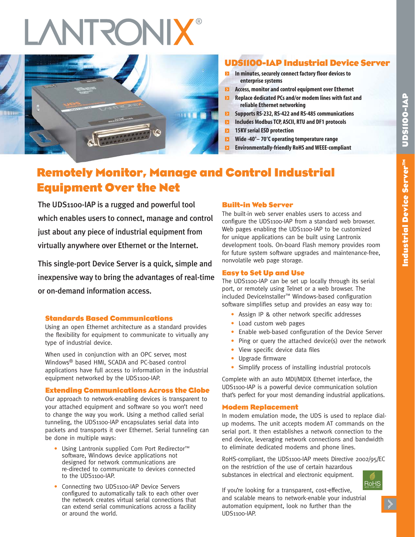# **RONIX**



## **UDS1100-IAP Industrial Device Server**

- **In minutes, securely connect factory floor devices to enterprise systems**
- $\blacksquare$ **Access, monitor and control equipment over Ethernet**
- $\blacksquare$ **Replace dedicated PCs and/or modem lines with fast and reliable Ethernet networking**
- **EX** Supports RS-232, RS-422 and RS-485 communications
- **Includes Modbus TCP, ASCII, RTU and DF1 protocols**
- **15KV serial ESD protection**
- $\blacksquare$ **Wide -40°– 70°C operating temperature range**
- Ы **Environmentally-friendly RoHS and WEEE-compliant**

# **Remotely Monitor, Manage and Control Industrial Equipment Over the Net**

The UDS1100-IAP is a rugged and powerful tool which enables users to connect, manage and control just about any piece of industrial equipment from virtually anywhere over Ethernet or the Internet.

This single-port Device Server is a quick, simple and inexpensive way to bring the advantages of real-time or on-demand information access.

## **Standards Based Communications**

Using an open Ethernet architecture as a standard provides the flexibility for equipment to communicate to virtually any type of industrial device.

When used in conjunction with an OPC server, most Windows® based HMI, SCADA and PC-based control applications have full access to information in the industrial equipment networked by the UDS1100-IAP.

## **Extending Communications Across the Globe**

Our approach to network-enabling devices is transparent to your attached equipment and software so you won't need to change the way you work. Using a method called serial tunneling, the UDS1100-IAP encapsulates serial data into packets and transports it over Ethernet. Serial tunneling can be done in multiple ways:

- Using Lantronix supplied Com Port Redirector™ software, Windows device applications not designed for network communications are re-directed to communicate to devices connected to the UDS1100-IAP.
- Connecting two UDS1100-IAP Device Servers configured to automatically talk to each other over the network creates virtual serial connections that can extend serial communications across a facility or around the world.

## **Built-in Web Server**

The built-in web server enables users to access and configure the UDS1100-IAP from a standard web browser. Web pages enabling the UDS1100-IAP to be customized for unique applications can be built using Lantronix development tools. On-board Flash memory provides room for future system software upgrades and maintenance-free, nonvolatile web page storage.

## **Easy to Set Up and Use**

The UDS1100-IAP can be set up locally through its serial port, or remotely using Telnet or a web browser. The included DeviceInstaller™ Windows-based configuration software simplifies setup and provides an easy way to:

- Assign IP & other network specific addresses
- Load custom web pages
- Enable web-based configuration of the Device Server
- Ping or query the attached device(s) over the network
- View specific device data files
- Upgrade firmware
- Simplify process of installing industrial protocols

Complete with an auto MDI/MDIX Ethernet interface, the UDS1100-IAP is a powerful device communication solution that's perfect for your most demanding industrial applications.

## **Modem Replacement**

In modem emulation mode, the UDS is used to replace dialup modems. The unit accepts modem AT commands on the serial port. It then establishes a network connection to the end device, leveraging network connections and bandwidth to eliminate dedicated modems and phone lines.

RoHS-compliant, the UDS1100-IAP meets Directive 2002/95/EC on the restriction of the use of certain hazardous substances in electrical and electronic equipment.



If you're looking for a transparent, cost-effective, and scalable means to network-enable your industrial automation equipment, look no further than the UDS1100-IAP.